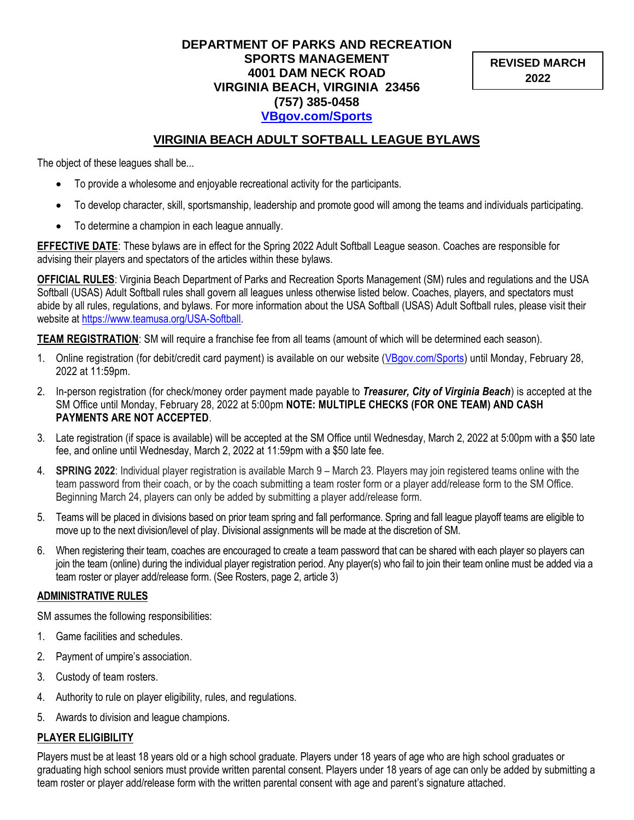#### **DEPARTMENT OF PARKS AND RECREATION SPORTS MANAGEMENT 4001 DAM NECK ROAD VIRGINIA BEACH, VIRGINIA 23456 (757) 385-0458 [VBgov.com/Sports](http://www.vbgov.com/Sports)**

**REVISED MARCH 2022**

## **VIRGINIA BEACH ADULT SOFTBALL LEAGUE BYLAWS**

The object of these leagues shall be...

- To provide a wholesome and enjoyable recreational activity for the participants.
- To develop character, skill, sportsmanship, leadership and promote good will among the teams and individuals participating.
- To determine a champion in each league annually.

**EFFECTIVE DATE**: These bylaws are in effect for the Spring 2022 Adult Softball League season. Coaches are responsible for advising their players and spectators of the articles within these bylaws.

**OFFICIAL RULES**: Virginia Beach Department of Parks and Recreation Sports Management (SM) rules and regulations and the USA Softball (USAS) Adult Softball rules shall govern all leagues unless otherwise listed below. Coaches, players, and spectators must abide by all rules, regulations, and bylaws. For more information about the USA Softball (USAS) Adult Softball rules, please visit their website at [https://www.teamusa.org/USA-Softball.](https://www.teamusa.org/USA-Softball)

**TEAM REGISTRATION**: SM will require a franchise fee from all teams (amount of which will be determined each season).

- 1. Online registration (for debit/credit card payment) is available on our website [\(VBgov.com/Sports\)](http://www.vbgov.com/Sports) until Monday, February 28, 2022 at 11:59pm.
- 2. In-person registration (for check/money order payment made payable to *Treasurer, City of Virginia Beach*) is accepted at the SM Office until Monday, February 28, 2022 at 5:00pm **NOTE: MULTIPLE CHECKS (FOR ONE TEAM) AND CASH PAYMENTS ARE NOT ACCEPTED**.
- 3. Late registration (if space is available) will be accepted at the SM Office until Wednesday, March 2, 2022 at 5:00pm with a \$50 late fee, and online until Wednesday, March 2, 2022 at 11:59pm with a \$50 late fee.
- 4. **SPRING 2022**: Individual player registration is available March 9 March 23. Players may join registered teams online with the team password from their coach, or by the coach submitting a team roster form or a player add/release form to the SM Office. Beginning March 24, players can only be added by submitting a player add/release form.
- 5. Teams will be placed in divisions based on prior team spring and fall performance. Spring and fall league playoff teams are eligible to move up to the next division/level of play. Divisional assignments will be made at the discretion of SM.
- 6. When registering their team, coaches are encouraged to create a team password that can be shared with each player so players can join the team (online) during the individual player registration period. Any player(s) who fail to join their team online must be added via a team roster or player add/release form. (See Rosters, page 2, article 3)

#### **ADMINISTRATIVE RULES**

SM assumes the following responsibilities:

- 1. Game facilities and schedules.
- 2. Payment of umpire's association.
- 3. Custody of team rosters.
- 4. Authority to rule on player eligibility, rules, and regulations.
- 5. Awards to division and league champions.

#### **PLAYER ELIGIBILITY**

Players must be at least 18 years old or a high school graduate. Players under 18 years of age who are high school graduates or graduating high school seniors must provide written parental consent. Players under 18 years of age can only be added by submitting a team roster or player add/release form with the written parental consent with age and parent's signature attached.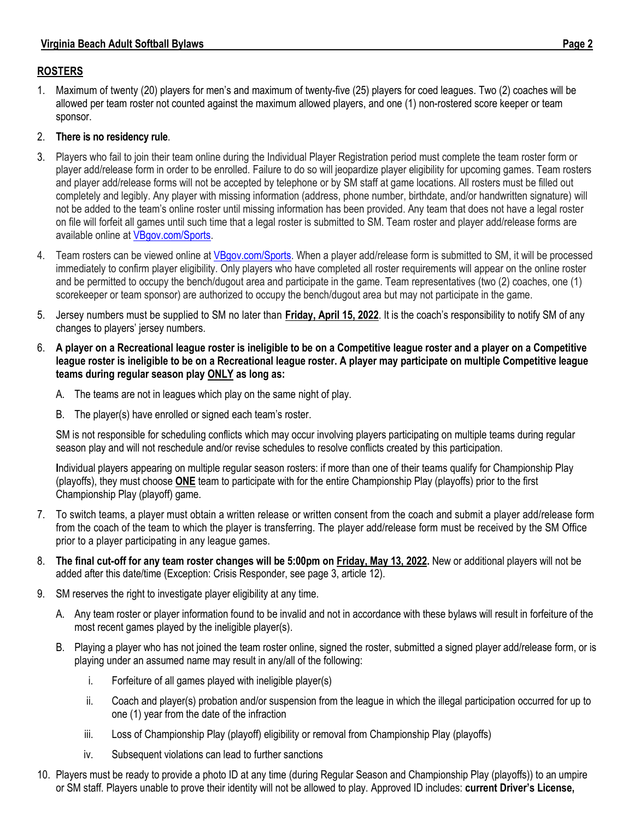## **ROSTERS**

1. Maximum of twenty (20) players for men's and maximum of twenty-five (25) players for coed leagues. Two (2) coaches will be allowed per team roster not counted against the maximum allowed players, and one (1) non-rostered score keeper or team sponsor.

## 2. **There is no residency rule**.

- 3. Players who fail to join their team online during the Individual Player Registration period must complete the team roster form or player add/release form in order to be enrolled. Failure to do so will jeopardize player eligibility for upcoming games. Team rosters and player add/release forms will not be accepted by telephone or by SM staff at game locations. All rosters must be filled out completely and legibly. Any player with missing information (address, phone number, birthdate, and/or handwritten signature) will not be added to the team's online roster until missing information has been provided. Any team that does not have a legal roster on file will forfeit all games until such time that a legal roster is submitted to SM. Team roster and player add/release forms are available online a[t VBgov.com/Sports.](http://www.vbgov.com/sports)
- 4. Team rosters can be viewed online a[t VBgov.com/Sports.](http://www.vbgov.com/Sports) When a player add/release form is submitted to SM, it will be processed immediately to confirm player eligibility. Only players who have completed all roster requirements will appear on the online roster and be permitted to occupy the bench/dugout area and participate in the game. Team representatives (two (2) coaches, one (1) scorekeeper or team sponsor) are authorized to occupy the bench/dugout area but may not participate in the game.
- 5. Jersey numbers must be supplied to SM no later than **Friday, April 15, 2022**. It is the coach's responsibility to notify SM of any changes to players' jersey numbers.
- 6. **A player on a Recreational league roster is ineligible to be on a Competitive league roster and a player on a Competitive league roster is ineligible to be on a Recreational league roster. A player may participate on multiple Competitive league teams during regular season play ONLY as long as:**
	- A. The teams are not in leagues which play on the same night of play.
	- B. The player(s) have enrolled or signed each team's roster.

SM is not responsible for scheduling conflicts which may occur involving players participating on multiple teams during regular season play and will not reschedule and/or revise schedules to resolve conflicts created by this participation.

**I**ndividual players appearing on multiple regular season rosters: if more than one of their teams qualify for Championship Play (playoffs), they must choose **ONE** team to participate with for the entire Championship Play (playoffs) prior to the first Championship Play (playoff) game.

- 7. To switch teams, a player must obtain a written release or written consent from the coach and submit a player add/release form from the coach of the team to which the player is transferring. The player add/release form must be received by the SM Office prior to a player participating in any league games.
- 8. **The final cut-off for any team roster changes will be 5:00pm on Friday, May 13, 2022.** New or additional players will not be added after this date/time (Exception: Crisis Responder, see page 3, article 12).
- 9. SM reserves the right to investigate player eligibility at any time.
	- A. Any team roster or player information found to be invalid and not in accordance with these bylaws will result in forfeiture of the most recent games played by the ineligible player(s).
	- B. Playing a player who has not joined the team roster online, signed the roster, submitted a signed player add/release form, or is playing under an assumed name may result in any/all of the following:
		- i. Forfeiture of all games played with ineligible player(s)
		- ii. Coach and player(s) probation and/or suspension from the league in which the illegal participation occurred for up to one (1) year from the date of the infraction
		- iii. Loss of Championship Play (playoff) eligibility or removal from Championship Play (playoffs)
		- iv. Subsequent violations can lead to further sanctions
- 10. Players must be ready to provide a photo ID at any time (during Regular Season and Championship Play (playoffs)) to an umpire or SM staff. Players unable to prove their identity will not be allowed to play. Approved ID includes: **current Driver's License,**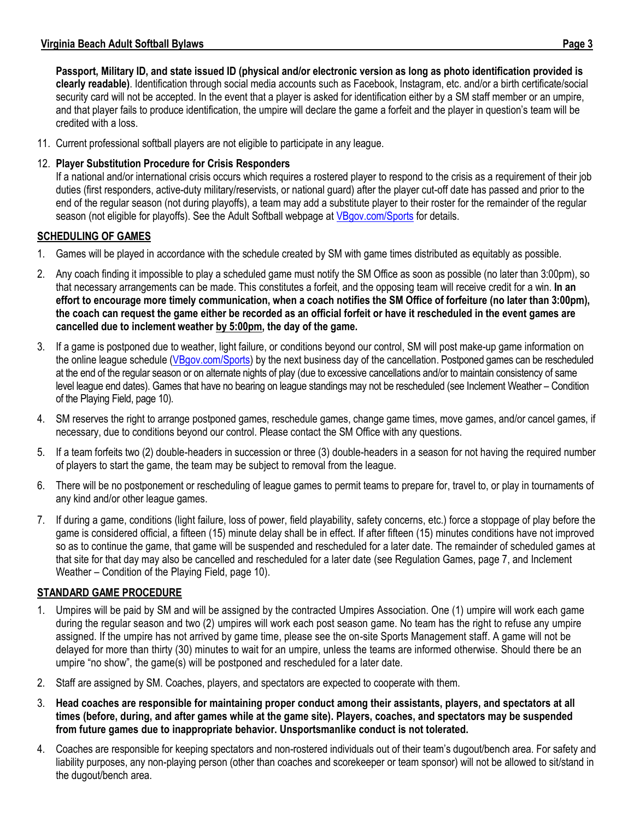**Passport, Military ID, and state issued ID (physical and/or electronic version as long as photo identification provided is clearly readable)**. Identification through social media accounts such as Facebook, Instagram, etc. and/or a birth certificate/social security card will not be accepted. In the event that a player is asked for identification either by a SM staff member or an umpire, and that player fails to produce identification, the umpire will declare the game a forfeit and the player in question's team will be credited with a loss.

11. Current professional softball players are not eligible to participate in any league.

## 12. **Player Substitution Procedure for Crisis Responders**

If a national and/or international crisis occurs which requires a rostered player to respond to the crisis as a requirement of their job duties (first responders, active-duty military/reservists, or national guard) after the player cut-off date has passed and prior to the end of the regular season (not during playoffs), a team may add a substitute player to their roster for the remainder of the regular season (not eligible for playoffs). See the Adult Softball webpage at *VBgov.com/Sports* for details.

## **SCHEDULING OF GAMES**

- 1. Games will be played in accordance with the schedule created by SM with game times distributed as equitably as possible.
- 2. Any coach finding it impossible to play a scheduled game must notify the SM Office as soon as possible (no later than 3:00pm), so that necessary arrangements can be made. This constitutes a forfeit, and the opposing team will receive credit for a win. **In an effort to encourage more timely communication, when a coach notifies the SM Office of forfeiture (no later than 3:00pm), the coach can request the game either be recorded as an official forfeit or have it rescheduled in the event games are cancelled due to inclement weather by 5:00pm, the day of the game.**
- 3. If a game is postponed due to weather, light failure, or conditions beyond our control, SM will post make-up game information on the online league schedule [\(VBgov.com/Sports\)](http://www.vbgov.com/Sports) by the next business day of the cancellation. Postponed games can be rescheduled at the end of the regular season or on alternate nights of play (due to excessive cancellations and/or to maintain consistency of same level league end dates). Games that have no bearing on league standings may not be rescheduled (see Inclement Weather – Condition of the Playing Field, page 10).
- 4. SM reserves the right to arrange postponed games, reschedule games, change game times, move games, and/or cancel games, if necessary, due to conditions beyond our control. Please contact the SM Office with any questions.
- 5. If a team forfeits two (2) double-headers in succession or three (3) double-headers in a season for not having the required number of players to start the game, the team may be subject to removal from the league.
- 6. There will be no postponement or rescheduling of league games to permit teams to prepare for, travel to, or play in tournaments of any kind and/or other league games.
- 7. If during a game, conditions (light failure, loss of power, field playability, safety concerns, etc.) force a stoppage of play before the game is considered official, a fifteen (15) minute delay shall be in effect. If after fifteen (15) minutes conditions have not improved so as to continue the game, that game will be suspended and rescheduled for a later date. The remainder of scheduled games at that site for that day may also be cancelled and rescheduled for a later date (see Regulation Games, page 7, and Inclement Weather – Condition of the Playing Field, page 10).

#### **STANDARD GAME PROCEDURE**

- 1. Umpires will be paid by SM and will be assigned by the contracted Umpires Association. One (1) umpire will work each game during the regular season and two (2) umpires will work each post season game. No team has the right to refuse any umpire assigned. If the umpire has not arrived by game time, please see the on-site Sports Management staff. A game will not be delayed for more than thirty (30) minutes to wait for an umpire, unless the teams are informed otherwise. Should there be an umpire "no show", the game(s) will be postponed and rescheduled for a later date.
- 2. Staff are assigned by SM. Coaches, players, and spectators are expected to cooperate with them.
- 3. **Head coaches are responsible for maintaining proper conduct among their assistants, players, and spectators at all times (before, during, and after games while at the game site). Players, coaches, and spectators may be suspended from future games due to inappropriate behavior. Unsportsmanlike conduct is not tolerated.**
- 4. Coaches are responsible for keeping spectators and non-rostered individuals out of their team's dugout/bench area. For safety and liability purposes, any non-playing person (other than coaches and scorekeeper or team sponsor) will not be allowed to sit/stand in the dugout/bench area.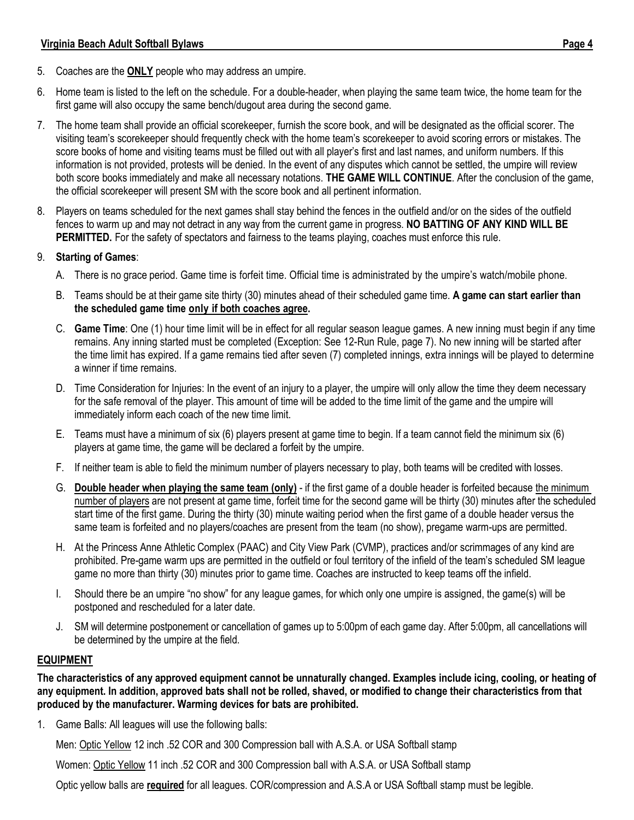- 5. Coaches are the **ONLY** people who may address an umpire.
- 6. Home team is listed to the left on the schedule. For a double-header, when playing the same team twice, the home team for the first game will also occupy the same bench/dugout area during the second game.
- 7. The home team shall provide an official scorekeeper, furnish the score book, and will be designated as the official scorer. The visiting team's scorekeeper should frequently check with the home team's scorekeeper to avoid scoring errors or mistakes. The score books of home and visiting teams must be filled out with all player's first and last names, and uniform numbers. If this information is not provided, protests will be denied. In the event of any disputes which cannot be settled, the umpire will review both score books immediately and make all necessary notations. **THE GAME WILL CONTINUE**. After the conclusion of the game, the official scorekeeper will present SM with the score book and all pertinent information.
- 8. Players on teams scheduled for the next games shall stay behind the fences in the outfield and/or on the sides of the outfield fences to warm up and may not detract in any way from the current game in progress. **NO BATTING OF ANY KIND WILL BE PERMITTED.** For the safety of spectators and fairness to the teams playing, coaches must enforce this rule.

#### 9. **Starting of Games**:

- A. There is no grace period. Game time is forfeit time. Official time is administrated by the umpire's watch/mobile phone.
- B. Teams should be at their game site thirty (30) minutes ahead of their scheduled game time. **A game can start earlier than the scheduled game time only if both coaches agree.**
- C. **Game Time**: One (1) hour time limit will be in effect for all regular season league games. A new inning must begin if any time remains. Any inning started must be completed (Exception: See 12-Run Rule, page 7). No new inning will be started after the time limit has expired. If a game remains tied after seven (7) completed innings, extra innings will be played to determine a winner if time remains.
- D. Time Consideration for Injuries: In the event of an injury to a player, the umpire will only allow the time they deem necessary for the safe removal of the player. This amount of time will be added to the time limit of the game and the umpire will immediately inform each coach of the new time limit.
- E. Teams must have a minimum of six (6) players present at game time to begin. If a team cannot field the minimum six (6) players at game time, the game will be declared a forfeit by the umpire.
- F. If neither team is able to field the minimum number of players necessary to play, both teams will be credited with losses.
- G. **Double header when playing the same team (only)** if the first game of a double header is forfeited because the minimum number of players are not present at game time, forfeit time for the second game will be thirty (30) minutes after the scheduled start time of the first game. During the thirty (30) minute waiting period when the first game of a double header versus the same team is forfeited and no players/coaches are present from the team (no show), pregame warm-ups are permitted.
- H. At the Princess Anne Athletic Complex (PAAC) and City View Park (CVMP), practices and/or scrimmages of any kind are prohibited. Pre-game warm ups are permitted in the outfield or foul territory of the infield of the team's scheduled SM league game no more than thirty (30) minutes prior to game time. Coaches are instructed to keep teams off the infield.
- I. Should there be an umpire "no show" for any league games, for which only one umpire is assigned, the game(s) will be postponed and rescheduled for a later date.
- J. SM will determine postponement or cancellation of games up to 5:00pm of each game day. After 5:00pm, all cancellations will be determined by the umpire at the field.

## **EQUIPMENT**

**The characteristics of any approved equipment cannot be unnaturally changed. Examples include icing, cooling, or heating of any equipment. In addition, approved bats shall not be rolled, shaved, or modified to change their characteristics from that produced by the manufacturer. Warming devices for bats are prohibited.**

1. Game Balls: All leagues will use the following balls:

Men: Optic Yellow 12 inch .52 COR and 300 Compression ball with A.S.A. or USA Softball stamp

Women: Optic Yellow 11 inch .52 COR and 300 Compression ball with A.S.A. or USA Softball stamp

Optic yellow balls are **required** for all leagues. COR/compression and A.S.A or USA Softball stamp must be legible.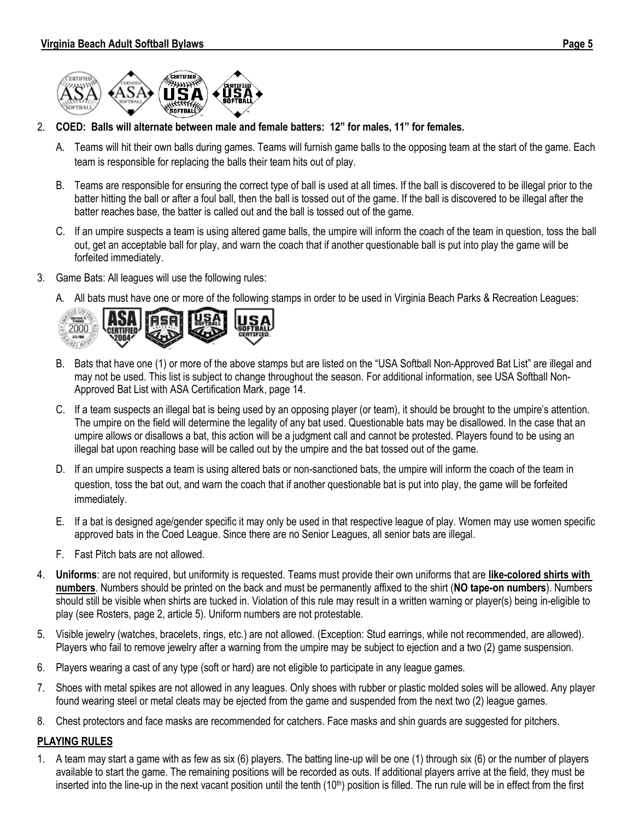



- 2. **COED: Balls will alternate between male and female batters: 12" for males, 11" for females.**
	- A. Teams will hit their own balls during games. Teams will furnish game balls to the opposing team at the start of the game. Each team is responsible for replacing the balls their team hits out of play.
	- B. Teams are responsible for ensuring the correct type of ball is used at all times. If the ball is discovered to be illegal prior to the batter hitting the ball or after a foul ball, then the ball is tossed out of the game. If the ball is discovered to be illegal after the batter reaches base, the batter is called out and the ball is tossed out of the game.
	- C. If an umpire suspects a team is using altered game balls, the umpire will inform the coach of the team in question, toss the ball out, get an acceptable ball for play, and warn the coach that if another questionable ball is put into play the game will be forfeited immediately.
- 3. Game Bats: All leagues will use the following rules:
	- A. All bats must have one or more of the following stamps in order to be used in Virginia Beach Parks & Recreation Leagues:



- B. Bats that have one (1) or more of the above stamps but are listed on the "USA Softball Non-Approved Bat List" are illegal and may not be used. This list is subject to change throughout the season. For additional information, see USA Softball Non-Approved Bat List with ASA Certification Mark, page 14.
- C. If a team suspects an illegal bat is being used by an opposing player (or team), it should be brought to the umpire's attention. The umpire on the field will determine the legality of any bat used. Questionable bats may be disallowed. In the case that an umpire allows or disallows a bat, this action will be a judgment call and cannot be protested. Players found to be using an illegal bat upon reaching base will be called out by the umpire and the bat tossed out of the game.
- D. If an umpire suspects a team is using altered bats or non-sanctioned bats, the umpire will inform the coach of the team in question, toss the bat out, and warn the coach that if another questionable bat is put into play, the game will be forfeited immediately.
- E. If a bat is designed age/gender specific it may only be used in that respective league of play. Women may use women specific approved bats in the Coed League. Since there are no Senior Leagues, all senior bats are illegal.
- F. Fast Pitch bats are not allowed.
- 4. **Uniforms**: are not required, but uniformity is requested. Teams must provide their own uniforms that are **like-colored shirts with numbers**. Numbers should be printed on the back and must be permanently affixed to the shirt (**NO tape-on numbers**). Numbers should still be visible when shirts are tucked in. Violation of this rule may result in a written warning or player(s) being in-eligible to play (see Rosters, page 2, article 5). Uniform numbers are not protestable.
- 5. Visible jewelry (watches, bracelets, rings, etc.) are not allowed. (Exception: Stud earrings, while not recommended, are allowed). Players who fail to remove jewelry after a warning from the umpire may be subject to ejection and a two (2) game suspension.
- 6. Players wearing a cast of any type (soft or hard) are not eligible to participate in any league games.
- 7. Shoes with metal spikes are not allowed in any leagues. Only shoes with rubber or plastic molded soles will be allowed. Any player found wearing steel or metal cleats may be ejected from the game and suspended from the next two (2) league games.
- 8. Chest protectors and face masks are recommended for catchers. Face masks and shin guards are suggested for pitchers.

#### **PLAYING RULES**

1. A team may start a game with as few as six (6) players. The batting line-up will be one (1) through six (6) or the number of players available to start the game. The remaining positions will be recorded as outs. If additional players arrive at the field, they must be inserted into the line-up in the next vacant position until the tenth (10<sup>th</sup>) position is filled. The run rule will be in effect from the first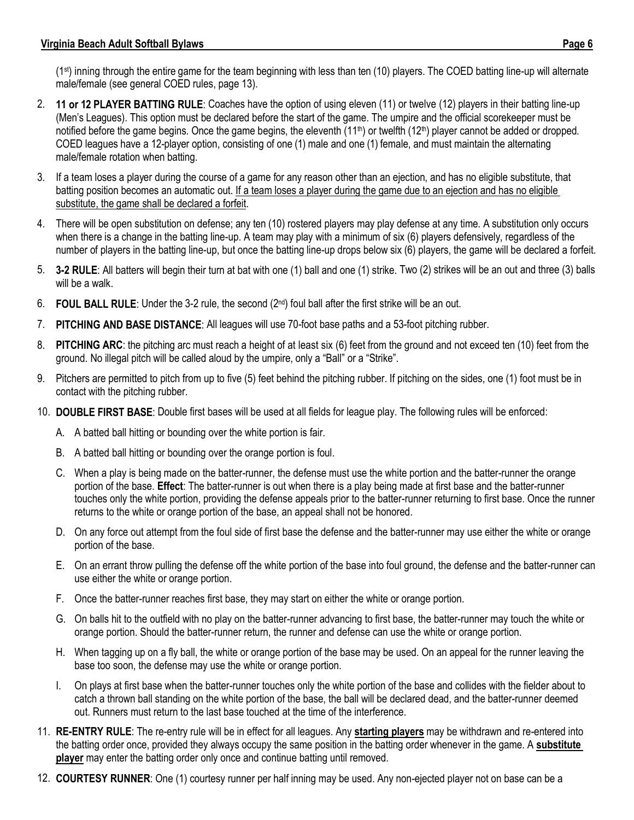(1st) inning through the entire game for the team beginning with less than ten (10) players. The COED batting line-up will alternate male/female (see general COED rules, page 13).

- 2. **11 or 12 PLAYER BATTING RULE**: Coaches have the option of using eleven (11) or twelve (12) players in their batting line-up (Men's Leagues). This option must be declared before the start of the game. The umpire and the official scorekeeper must be notified before the game begins. Once the game begins, the eleventh (11<sup>th</sup>) or twelfth (12<sup>th</sup>) player cannot be added or dropped. COED leagues have a 12-player option, consisting of one (1) male and one (1) female, and must maintain the alternating male/female rotation when batting.
- 3. If a team loses a player during the course of a game for any reason other than an ejection, and has no eligible substitute, that batting position becomes an automatic out. If a team loses a player during the game due to an ejection and has no eligible substitute, the game shall be declared a forfeit.
- 4. There will be open substitution on defense; any ten (10) rostered players may play defense at any time. A substitution only occurs when there is a change in the batting line-up. A team may play with a minimum of six (6) players defensively, regardless of the number of players in the batting line-up, but once the batting line-up drops below six (6) players, the game will be declared a forfeit.
- 5. **3-2 RULE**: All batters will begin their turn at bat with one (1) ball and one (1) strike. Two (2) strikes will be an out and three (3) balls will be a walk.
- 6. **FOUL BALL RULE**: Under the 3-2 rule, the second (2<sup>nd</sup>) foul ball after the first strike will be an out.
- 7. **PITCHING AND BASE DISTANCE**: All leagues will use 70-foot base paths and a 53-foot pitching rubber.
- 8. **PITCHING ARC**: the pitching arc must reach a height of at least six (6) feet from the ground and not exceed ten (10) feet from the ground. No illegal pitch will be called aloud by the umpire, only a "Ball" or a "Strike".
- 9. Pitchers are permitted to pitch from up to five (5) feet behind the pitching rubber. If pitching on the sides, one (1) foot must be in contact with the pitching rubber.
- 10. **DOUBLE FIRST BASE**: Double first bases will be used at all fields for league play. The following rules will be enforced:
	- A. A batted ball hitting or bounding over the white portion is fair.
	- B. A batted ball hitting or bounding over the orange portion is foul.
	- C. When a play is being made on the batter-runner, the defense must use the white portion and the batter-runner the orange portion of the base. **Effect**: The batter-runner is out when there is a play being made at first base and the batter-runner touches only the white portion, providing the defense appeals prior to the batter-runner returning to first base. Once the runner returns to the white or orange portion of the base, an appeal shall not be honored.
	- D. On any force out attempt from the foul side of first base the defense and the batter-runner may use either the white or orange portion of the base.
	- E. On an errant throw pulling the defense off the white portion of the base into foul ground, the defense and the batter-runner can use either the white or orange portion.
	- F. Once the batter-runner reaches first base, they may start on either the white or orange portion.
	- G. On balls hit to the outfield with no play on the batter-runner advancing to first base, the batter-runner may touch the white or orange portion. Should the batter-runner return, the runner and defense can use the white or orange portion.
	- H. When tagging up on a fly ball, the white or orange portion of the base may be used. On an appeal for the runner leaving the base too soon, the defense may use the white or orange portion.
	- I. On plays at first base when the batter-runner touches only the white portion of the base and collides with the fielder about to catch a thrown ball standing on the white portion of the base, the ball will be declared dead, and the batter-runner deemed out. Runners must return to the last base touched at the time of the interference.
- 11. **RE-ENTRY RULE**: The re-entry rule will be in effect for all leagues. Any **starting players** may be withdrawn and re-entered into the batting order once, provided they always occupy the same position in the batting order whenever in the game. A **substitute player** may enter the batting order only once and continue batting until removed.
- 12. **COURTESY RUNNER**: One (1) courtesy runner per half inning may be used. Any non-ejected player not on base can be a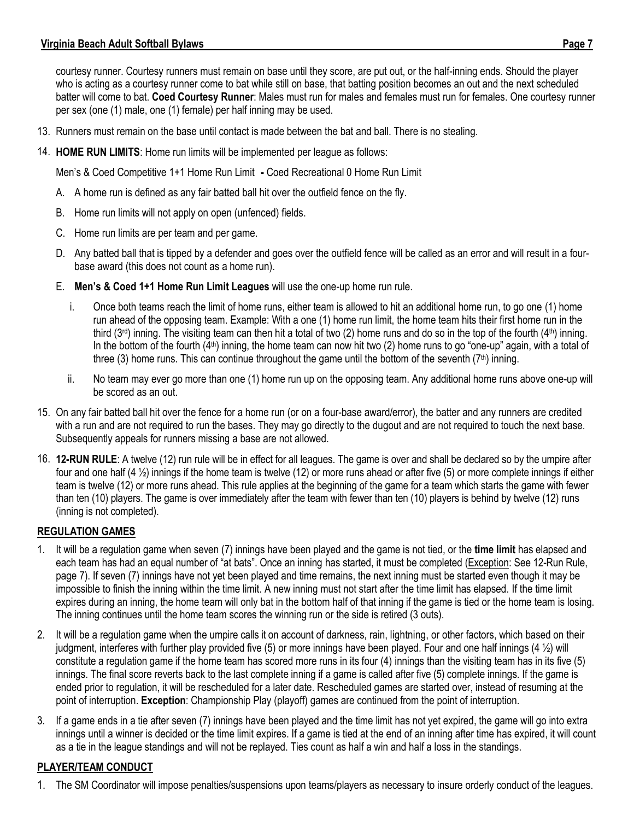courtesy runner. Courtesy runners must remain on base until they score, are put out, or the half-inning ends. Should the player who is acting as a courtesy runner come to bat while still on base, that batting position becomes an out and the next scheduled batter will come to bat. **Coed Courtesy Runner**: Males must run for males and females must run for females. One courtesy runner per sex (one (1) male, one (1) female) per half inning may be used.

- 13. Runners must remain on the base until contact is made between the bat and ball. There is no stealing.
- 14. **HOME RUN LIMITS**: Home run limits will be implemented per league as follows:

Men's & Coed Competitive 1+1 Home Run Limit **-** Coed Recreational 0 Home Run Limit

- A. A home run is defined as any fair batted ball hit over the outfield fence on the fly.
- B. Home run limits will not apply on open (unfenced) fields.
- C. Home run limits are per team and per game.
- D. Any batted ball that is tipped by a defender and goes over the outfield fence will be called as an error and will result in a fourbase award (this does not count as a home run).
- E. **Men's & Coed 1+1 Home Run Limit Leagues** will use the one-up home run rule.
	- i. Once both teams reach the limit of home runs, either team is allowed to hit an additional home run, to go one (1) home run ahead of the opposing team. Example: With a one (1) home run limit, the home team hits their first home run in the third (3<sup>rd</sup>) inning. The visiting team can then hit a total of two (2) home runs and do so in the top of the fourth (4<sup>th</sup>) inning. In the bottom of the fourth (4<sup>th</sup>) inning, the home team can now hit two (2) home runs to go "one-up" again, with a total of three (3) home runs. This can continue throughout the game until the bottom of the seventh ( $7<sup>th</sup>$ ) inning.
	- ii. No team may ever go more than one (1) home run up on the opposing team. Any additional home runs above one-up will be scored as an out.
- 15. On any fair batted ball hit over the fence for a home run (or on a four-base award/error), the batter and any runners are credited with a run and are not required to run the bases. They may go directly to the dugout and are not required to touch the next base. Subsequently appeals for runners missing a base are not allowed.
- 16. **12-RUN RULE**: A twelve (12) run rule will be in effect for all leagues. The game is over and shall be declared so by the umpire after four and one half (4 ½) innings if the home team is twelve (12) or more runs ahead or after five (5) or more complete innings if either team is twelve (12) or more runs ahead. This rule applies at the beginning of the game for a team which starts the game with fewer than ten (10) players. The game is over immediately after the team with fewer than ten (10) players is behind by twelve (12) runs (inning is not completed).

#### **REGULATION GAMES**

- 1. It will be a regulation game when seven (7) innings have been played and the game is not tied, or the **time limit** has elapsed and each team has had an equal number of "at bats". Once an inning has started, it must be completed (Exception: See 12-Run Rule, page 7). If seven (7) innings have not yet been played and time remains, the next inning must be started even though it may be impossible to finish the inning within the time limit. A new inning must not start after the time limit has elapsed. If the time limit expires during an inning, the home team will only bat in the bottom half of that inning if the game is tied or the home team is losing. The inning continues until the home team scores the winning run or the side is retired (3 outs).
- 2. It will be a regulation game when the umpire calls it on account of darkness, rain, lightning, or other factors, which based on their judgment, interferes with further play provided five (5) or more innings have been played. Four and one half innings (4 ½) will constitute a regulation game if the home team has scored more runs in its four (4) innings than the visiting team has in its five (5) innings. The final score reverts back to the last complete inning if a game is called after five (5) complete innings. If the game is ended prior to regulation, it will be rescheduled for a later date. Rescheduled games are started over, instead of resuming at the point of interruption. **Exception**: Championship Play (playoff) games are continued from the point of interruption.
- 3. If a game ends in a tie after seven (7) innings have been played and the time limit has not yet expired, the game will go into extra innings until a winner is decided or the time limit expires. If a game is tied at the end of an inning after time has expired, it will count as a tie in the league standings and will not be replayed. Ties count as half a win and half a loss in the standings.

#### **PLAYER/TEAM CONDUCT**

1. The SM Coordinator will impose penalties/suspensions upon teams/players as necessary to insure orderly conduct of the leagues.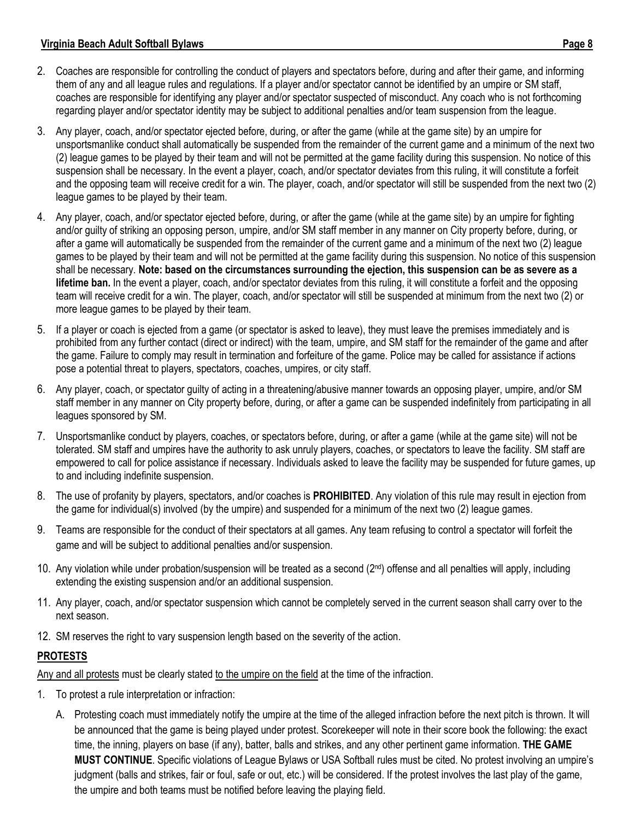- 2. Coaches are responsible for controlling the conduct of players and spectators before, during and after their game, and informing them of any and all league rules and regulations. If a player and/or spectator cannot be identified by an umpire or SM staff, coaches are responsible for identifying any player and/or spectator suspected of misconduct. Any coach who is not forthcoming regarding player and/or spectator identity may be subject to additional penalties and/or team suspension from the league.
- 3. Any player, coach, and/or spectator ejected before, during, or after the game (while at the game site) by an umpire for unsportsmanlike conduct shall automatically be suspended from the remainder of the current game and a minimum of the next two (2) league games to be played by their team and will not be permitted at the game facility during this suspension. No notice of this suspension shall be necessary. In the event a player, coach, and/or spectator deviates from this ruling, it will constitute a forfeit and the opposing team will receive credit for a win. The player, coach, and/or spectator will still be suspended from the next two (2) league games to be played by their team.
- 4. Any player, coach, and/or spectator ejected before, during, or after the game (while at the game site) by an umpire for fighting and/or guilty of striking an opposing person, umpire, and/or SM staff member in any manner on City property before, during, or after a game will automatically be suspended from the remainder of the current game and a minimum of the next two (2) league games to be played by their team and will not be permitted at the game facility during this suspension. No notice of this suspension shall be necessary. **Note: based on the circumstances surrounding the ejection, this suspension can be as severe as a lifetime ban.** In the event a player, coach, and/or spectator deviates from this ruling, it will constitute a forfeit and the opposing team will receive credit for a win. The player, coach, and/or spectator will still be suspended at minimum from the next two (2) or more league games to be played by their team.
- 5. If a player or coach is ejected from a game (or spectator is asked to leave), they must leave the premises immediately and is prohibited from any further contact (direct or indirect) with the team, umpire, and SM staff for the remainder of the game and after the game. Failure to comply may result in termination and forfeiture of the game. Police may be called for assistance if actions pose a potential threat to players, spectators, coaches, umpires, or city staff.
- 6. Any player, coach, or spectator guilty of acting in a threatening/abusive manner towards an opposing player, umpire, and/or SM staff member in any manner on City property before, during, or after a game can be suspended indefinitely from participating in all leagues sponsored by SM.
- 7. Unsportsmanlike conduct by players, coaches, or spectators before, during, or after a game (while at the game site) will not be tolerated. SM staff and umpires have the authority to ask unruly players, coaches, or spectators to leave the facility. SM staff are empowered to call for police assistance if necessary. Individuals asked to leave the facility may be suspended for future games, up to and including indefinite suspension.
- 8. The use of profanity by players, spectators, and/or coaches is **PROHIBITED**. Any violation of this rule may result in ejection from the game for individual(s) involved (by the umpire) and suspended for a minimum of the next two (2) league games.
- 9. Teams are responsible for the conduct of their spectators at all games. Any team refusing to control a spectator will forfeit the game and will be subject to additional penalties and/or suspension.
- 10. Any violation while under probation/suspension will be treated as a second (2<sup>nd</sup>) offense and all penalties will apply, including extending the existing suspension and/or an additional suspension.
- 11. Any player, coach, and/or spectator suspension which cannot be completely served in the current season shall carry over to the next season.
- 12. SM reserves the right to vary suspension length based on the severity of the action.

#### **PROTESTS**

Any and all protests must be clearly stated to the umpire on the field at the time of the infraction.

- 1. To protest a rule interpretation or infraction:
	- A. Protesting coach must immediately notify the umpire at the time of the alleged infraction before the next pitch is thrown. It will be announced that the game is being played under protest. Scorekeeper will note in their score book the following: the exact time, the inning, players on base (if any), batter, balls and strikes, and any other pertinent game information. **THE GAME MUST CONTINUE**. Specific violations of League Bylaws or USA Softball rules must be cited. No protest involving an umpire's judgment (balls and strikes, fair or foul, safe or out, etc.) will be considered. If the protest involves the last play of the game, the umpire and both teams must be notified before leaving the playing field.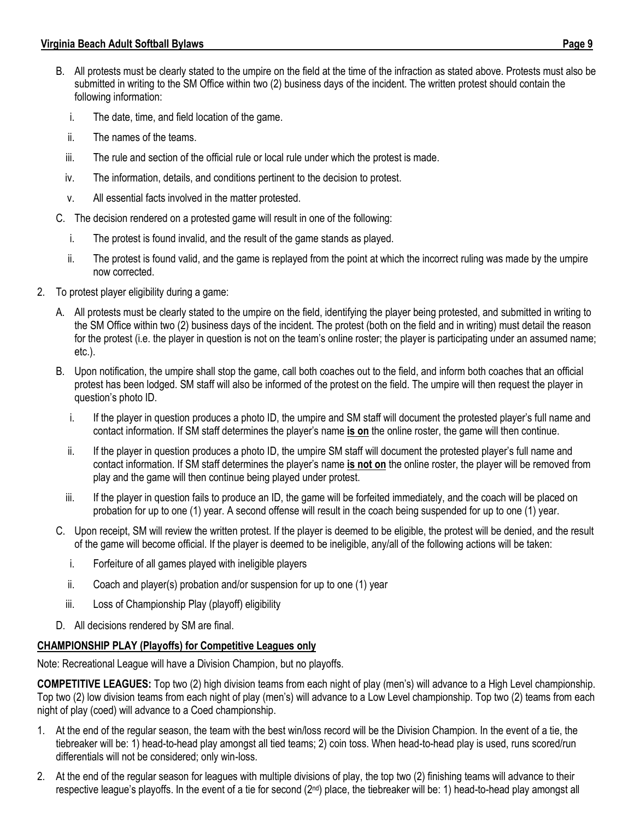- B. All protests must be clearly stated to the umpire on the field at the time of the infraction as stated above. Protests must also be submitted in writing to the SM Office within two (2) business days of the incident. The written protest should contain the following information:
	- i. The date, time, and field location of the game.
	- ii. The names of the teams.
	- iii. The rule and section of the official rule or local rule under which the protest is made.
	- iv. The information, details, and conditions pertinent to the decision to protest.
	- v. All essential facts involved in the matter protested.
- C. The decision rendered on a protested game will result in one of the following:
	- i. The protest is found invalid, and the result of the game stands as played.
	- ii. The protest is found valid, and the game is replayed from the point at which the incorrect ruling was made by the umpire now corrected.
- 2. To protest player eligibility during a game:
	- A. All protests must be clearly stated to the umpire on the field, identifying the player being protested, and submitted in writing to the SM Office within two (2) business days of the incident. The protest (both on the field and in writing) must detail the reason for the protest (i.e. the player in question is not on the team's online roster; the player is participating under an assumed name; etc.).
	- B. Upon notification, the umpire shall stop the game, call both coaches out to the field, and inform both coaches that an official protest has been lodged. SM staff will also be informed of the protest on the field. The umpire will then request the player in question's photo ID.
		- i. If the player in question produces a photo ID, the umpire and SM staff will document the protested player's full name and contact information. If SM staff determines the player's name **is on** the online roster, the game will then continue.
		- ii. If the player in question produces a photo ID, the umpire SM staff will document the protested player's full name and contact information. If SM staff determines the player's name **is not on** the online roster, the player will be removed from play and the game will then continue being played under protest.
		- iii. If the player in question fails to produce an ID, the game will be forfeited immediately, and the coach will be placed on probation for up to one (1) year. A second offense will result in the coach being suspended for up to one (1) year.
	- C. Upon receipt, SM will review the written protest. If the player is deemed to be eligible, the protest will be denied, and the result of the game will become official. If the player is deemed to be ineligible, any/all of the following actions will be taken:
		- i. Forfeiture of all games played with ineligible players
		- ii. Coach and player(s) probation and/or suspension for up to one (1) year
		- iii. Loss of Championship Play (playoff) eligibility
	- D. All decisions rendered by SM are final.

# **CHAMPIONSHIP PLAY (Playoffs) for Competitive Leagues only**

Note: Recreational League will have a Division Champion, but no playoffs.

**COMPETITIVE LEAGUES:** Top two (2) high division teams from each night of play (men's) will advance to a High Level championship. Top two (2) low division teams from each night of play (men's) will advance to a Low Level championship. Top two (2) teams from each night of play (coed) will advance to a Coed championship.

- 1. At the end of the regular season, the team with the best win/loss record will be the Division Champion. In the event of a tie, the tiebreaker will be: 1) head-to-head play amongst all tied teams; 2) coin toss. When head-to-head play is used, runs scored/run differentials will not be considered; only win-loss.
- 2. At the end of the regular season for leagues with multiple divisions of play, the top two (2) finishing teams will advance to their respective league's playoffs. In the event of a tie for second (2<sup>nd</sup>) place, the tiebreaker will be: 1) head-to-head play amongst all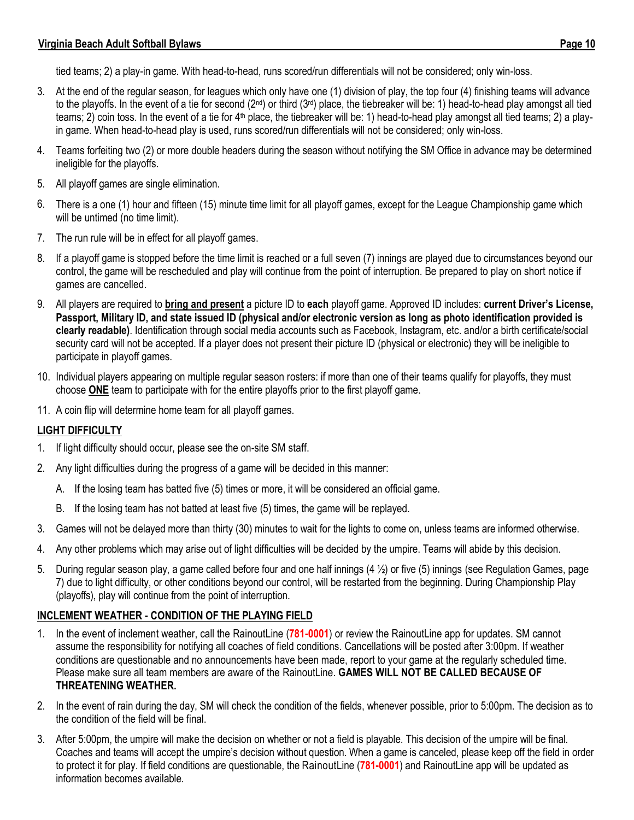tied teams; 2) a play-in game. With head-to-head, runs scored/run differentials will not be considered; only win-loss.

- 3. At the end of the regular season, for leagues which only have one (1) division of play, the top four (4) finishing teams will advance to the playoffs. In the event of a tie for second (2<sup>nd</sup>) or third (3<sup>rd</sup>) place, the tiebreaker will be: 1) head-to-head play amongst all tied teams; 2) coin toss. In the event of a tie for  $4<sup>th</sup>$  place, the tiebreaker will be: 1) head-to-head play amongst all tied teams; 2) a playin game. When head-to-head play is used, runs scored/run differentials will not be considered; only win-loss.
- 4. Teams forfeiting two (2) or more double headers during the season without notifying the SM Office in advance may be determined ineligible for the playoffs.
- 5. All playoff games are single elimination.
- 6. There is a one (1) hour and fifteen (15) minute time limit for all playoff games, except for the League Championship game which will be untimed (no time limit).
- 7. The run rule will be in effect for all playoff games.
- 8. If a playoff game is stopped before the time limit is reached or a full seven (7) innings are played due to circumstances beyond our control, the game will be rescheduled and play will continue from the point of interruption. Be prepared to play on short notice if games are cancelled.
- 9. All players are required to **bring and present** a picture ID to **each** playoff game. Approved ID includes: **current Driver's License, Passport, Military ID, and state issued ID (physical and/or electronic version as long as photo identification provided is clearly readable)**. Identification through social media accounts such as Facebook, Instagram, etc. and/or a birth certificate/social security card will not be accepted. If a player does not present their picture ID (physical or electronic) they will be ineligible to participate in playoff games.
- 10. Individual players appearing on multiple regular season rosters: if more than one of their teams qualify for playoffs, they must choose **ONE** team to participate with for the entire playoffs prior to the first playoff game.
- 11. A coin flip will determine home team for all playoff games.

#### **LIGHT DIFFICULTY**

- 1. If light difficulty should occur, please see the on-site SM staff.
- 2. Any light difficulties during the progress of a game will be decided in this manner:
	- A. If the losing team has batted five (5) times or more, it will be considered an official game.
	- B. If the losing team has not batted at least five (5) times, the game will be replayed.
- 3. Games will not be delayed more than thirty (30) minutes to wait for the lights to come on, unless teams are informed otherwise.
- 4. Any other problems which may arise out of light difficulties will be decided by the umpire. Teams will abide by this decision.
- 5. During regular season play, a game called before four and one half innings (4 ½) or five (5) innings (see Regulation Games, page 7) due to light difficulty, or other conditions beyond our control, will be restarted from the beginning. During Championship Play (playoffs), play will continue from the point of interruption.

#### **INCLEMENT WEATHER - CONDITION OF THE PLAYING FIELD**

- 1. In the event of inclement weather, call the RainoutLine (**781-0001**) or review the RainoutLine app for updates. SM cannot assume the responsibility for notifying all coaches of field conditions. Cancellations will be posted after 3:00pm. If weather conditions are questionable and no announcements have been made, report to your game at the regularly scheduled time. Please make sure all team members are aware of the RainoutLine. **GAMES WILL NOT BE CALLED BECAUSE OF THREATENING WEATHER.**
- 2. In the event of rain during the day, SM will check the condition of the fields, whenever possible, prior to 5:00pm. The decision as to the condition of the field will be final.
- 3. After 5:00pm, the umpire will make the decision on whether or not a field is playable. This decision of the umpire will be final. Coaches and teams will accept the umpire's decision without question. When a game is canceled, please keep off the field in order to protect it for play. If field conditions are questionable, the RainoutLine (**781-0001**) and RainoutLine app will be updated as information becomes available.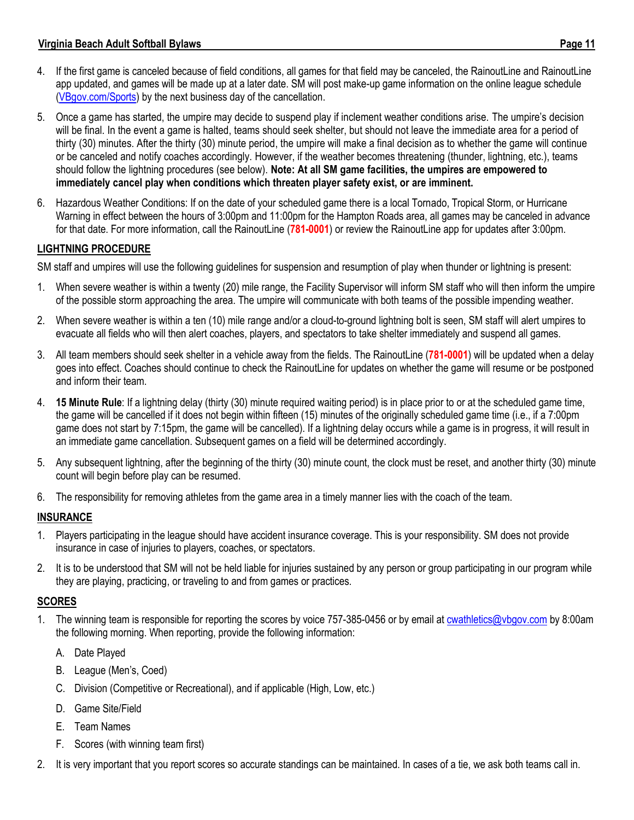- 4. If the first game is canceled because of field conditions, all games for that field may be canceled, the RainoutLine and RainoutLine app updated, and games will be made up at a later date. SM will post make-up game information on the online league schedule [\(VBgov.com/Sports\)](http://www.vbgov.com/Sports) by the next business day of the cancellation.
- 5. Once a game has started, the umpire may decide to suspend play if inclement weather conditions arise. The umpire's decision will be final. In the event a game is halted, teams should seek shelter, but should not leave the immediate area for a period of thirty (30) minutes. After the thirty (30) minute period, the umpire will make a final decision as to whether the game will continue or be canceled and notify coaches accordingly. However, if the weather becomes threatening (thunder, lightning, etc.), teams should follow the lightning procedures (see below). **Note: At all SM game facilities, the umpires are empowered to immediately cancel play when conditions which threaten player safety exist, or are imminent.**
- 6. Hazardous Weather Conditions: If on the date of your scheduled game there is a local Tornado, Tropical Storm, or Hurricane Warning in effect between the hours of 3:00pm and 11:00pm for the Hampton Roads area, all games may be canceled in advance for that date. For more information, call the RainoutLine (**781-0001**) or review the RainoutLine app for updates after 3:00pm.

#### **LIGHTNING PROCEDURE**

SM staff and umpires will use the following guidelines for suspension and resumption of play when thunder or lightning is present:

- 1. When severe weather is within a twenty (20) mile range, the Facility Supervisor will inform SM staff who will then inform the umpire of the possible storm approaching the area. The umpire will communicate with both teams of the possible impending weather.
- 2. When severe weather is within a ten (10) mile range and/or a cloud-to-ground lightning bolt is seen, SM staff will alert umpires to evacuate all fields who will then alert coaches, players, and spectators to take shelter immediately and suspend all games.
- 3. All team members should seek shelter in a vehicle away from the fields. The RainoutLine (**781-0001**) will be updated when a delay goes into effect. Coaches should continue to check the RainoutLine for updates on whether the game will resume or be postponed and inform their team.
- 4. **15 Minute Rule**: If a lightning delay (thirty (30) minute required waiting period) is in place prior to or at the scheduled game time, the game will be cancelled if it does not begin within fifteen (15) minutes of the originally scheduled game time (i.e., if a 7:00pm game does not start by 7:15pm, the game will be cancelled). If a lightning delay occurs while a game is in progress, it will result in an immediate game cancellation. Subsequent games on a field will be determined accordingly.
- 5. Any subsequent lightning, after the beginning of the thirty (30) minute count, the clock must be reset, and another thirty (30) minute count will begin before play can be resumed.
- 6. The responsibility for removing athletes from the game area in a timely manner lies with the coach of the team.

#### **INSURANCE**

- 1. Players participating in the league should have accident insurance coverage. This is your responsibility. SM does not provide insurance in case of injuries to players, coaches, or spectators.
- 2. It is to be understood that SM will not be held liable for injuries sustained by any person or group participating in our program while they are playing, practicing, or traveling to and from games or practices.

#### **SCORES**

- 1. The winning team is responsible for reporting the scores by voice 757-385-0456 or by email at **cwathletics@vbgov.com** by 8:00am the following morning. When reporting, provide the following information:
	- A. Date Played
	- B. League (Men's, Coed)
	- C. Division (Competitive or Recreational), and if applicable (High, Low, etc.)
	- D. Game Site/Field
	- E. Team Names
	- F. Scores (with winning team first)
- 2. It is very important that you report scores so accurate standings can be maintained. In cases of a tie, we ask both teams call in.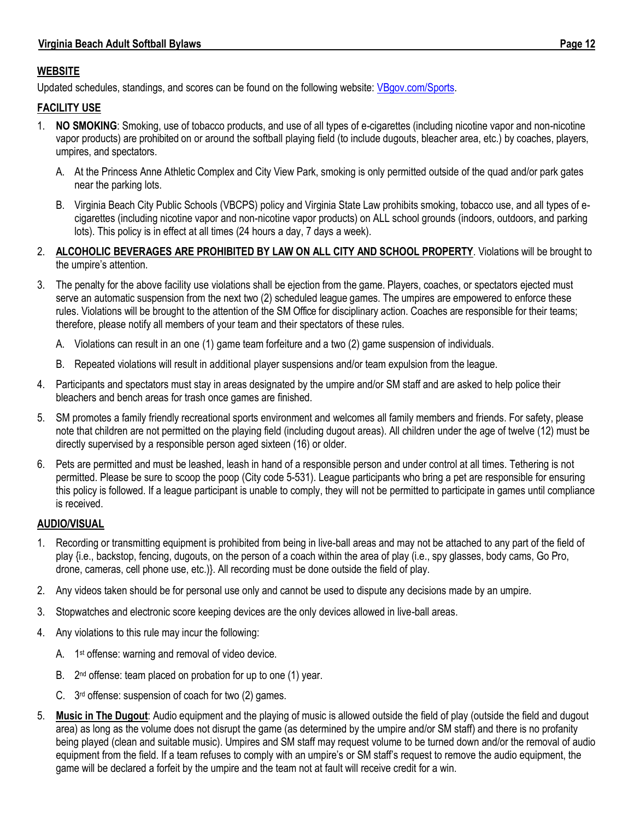## **WEBSITE**

Updated schedules, standings, and scores can be found on the following website: [VBgov.com/Sports.](http://www.vbgov.com/Sports)

#### **FACILITY USE**

- 1. **NO SMOKING**: Smoking, use of tobacco products, and use of all types of e-cigarettes (including nicotine vapor and non-nicotine vapor products) are prohibited on or around the softball playing field (to include dugouts, bleacher area, etc.) by coaches, players, umpires, and spectators.
	- A. At the Princess Anne Athletic Complex and City View Park, smoking is only permitted outside of the quad and/or park gates near the parking lots.
	- B. Virginia Beach City Public Schools (VBCPS) policy and Virginia State Law prohibits smoking, tobacco use, and all types of ecigarettes (including nicotine vapor and non-nicotine vapor products) on ALL school grounds (indoors, outdoors, and parking lots). This policy is in effect at all times (24 hours a day, 7 days a week).
- 2. **ALCOHOLIC BEVERAGES ARE PROHIBITED BY LAW ON ALL CITY AND SCHOOL PROPERTY**. Violations will be brought to the umpire's attention.
- 3. The penalty for the above facility use violations shall be ejection from the game. Players, coaches, or spectators ejected must serve an automatic suspension from the next two (2) scheduled league games. The umpires are empowered to enforce these rules. Violations will be brought to the attention of the SM Office for disciplinary action. Coaches are responsible for their teams; therefore, please notify all members of your team and their spectators of these rules.
	- A. Violations can result in an one (1) game team forfeiture and a two (2) game suspension of individuals.
	- B. Repeated violations will result in additional player suspensions and/or team expulsion from the league.
- 4. Participants and spectators must stay in areas designated by the umpire and/or SM staff and are asked to help police their bleachers and bench areas for trash once games are finished.
- 5. SM promotes a family friendly recreational sports environment and welcomes all family members and friends. For safety, please note that children are not permitted on the playing field (including dugout areas). All children under the age of twelve (12) must be directly supervised by a responsible person aged sixteen (16) or older.
- 6. Pets are permitted and must be leashed, leash in hand of a responsible person and under control at all times. Tethering is not permitted. Please be sure to scoop the poop (City code 5-531). League participants who bring a pet are responsible for ensuring this policy is followed. If a league participant is unable to comply, they will not be permitted to participate in games until compliance is received.

#### **AUDIO/VISUAL**

- 1. Recording or transmitting equipment is prohibited from being in live-ball areas and may not be attached to any part of the field of play {i.e., backstop, fencing, dugouts, on the person of a coach within the area of play (i.e., spy glasses, body cams, Go Pro, drone, cameras, cell phone use, etc.)}. All recording must be done outside the field of play.
- 2. Any videos taken should be for personal use only and cannot be used to dispute any decisions made by an umpire.
- 3. Stopwatches and electronic score keeping devices are the only devices allowed in live-ball areas.
- 4. Any violations to this rule may incur the following:
	- A. 1<sup>st</sup> offense: warning and removal of video device.
	- B. 2<sup>nd</sup> offense: team placed on probation for up to one (1) year.
	- C. 3<sup>rd</sup> offense: suspension of coach for two (2) games.
- 5. **Music in The Dugout**: Audio equipment and the playing of music is allowed outside the field of play (outside the field and dugout area) as long as the volume does not disrupt the game (as determined by the umpire and/or SM staff) and there is no profanity being played (clean and suitable music). Umpires and SM staff may request volume to be turned down and/or the removal of audio equipment from the field. If a team refuses to comply with an umpire's or SM staff's request to remove the audio equipment, the game will be declared a forfeit by the umpire and the team not at fault will receive credit for a win.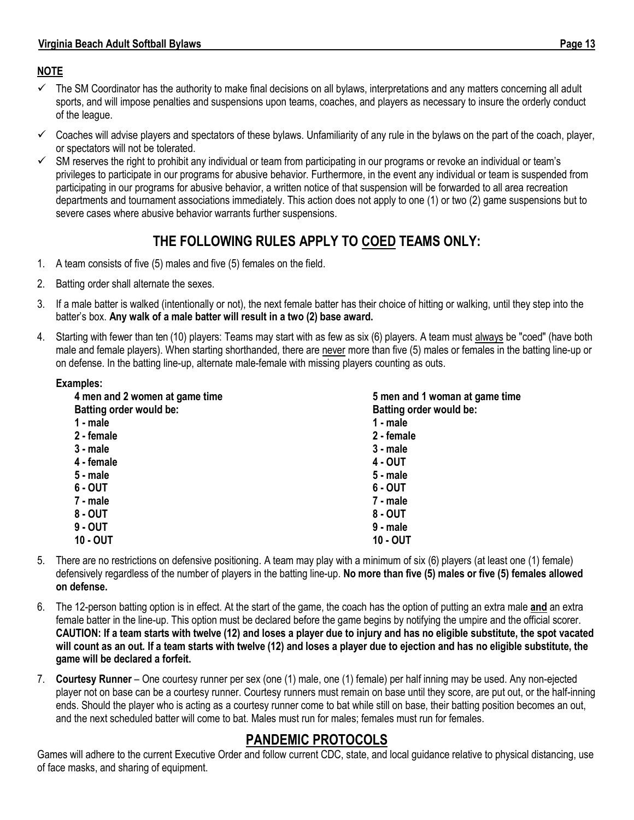#### **NOTE**

- ✓ The SM Coordinator has the authority to make final decisions on all bylaws, interpretations and any matters concerning all adult sports, and will impose penalties and suspensions upon teams, coaches, and players as necessary to insure the orderly conduct of the league.
- ✓ Coaches will advise players and spectators of these bylaws. Unfamiliarity of any rule in the bylaws on the part of the coach, player, or spectators will not be tolerated.
- $\checkmark$  SM reserves the right to prohibit any individual or team from participating in our programs or revoke an individual or team's privileges to participate in our programs for abusive behavior. Furthermore, in the event any individual or team is suspended from participating in our programs for abusive behavior, a written notice of that suspension will be forwarded to all area recreation departments and tournament associations immediately. This action does not apply to one (1) or two (2) game suspensions but to severe cases where abusive behavior warrants further suspensions.

# **THE FOLLOWING RULES APPLY TO COED TEAMS ONLY:**

- 1. A team consists of five (5) males and five (5) females on the field.
- 2. Batting order shall alternate the sexes.
- 3. If a male batter is walked (intentionally or not), the next female batter has their choice of hitting or walking, until they step into the batter's box. **Any walk of a male batter will result in a two (2) base award.**
- 4. Starting with fewer than ten (10) players: Teams may start with as few as six (6) players. A team must always be "coed" (have both male and female players). When starting shorthanded, there are never more than five (5) males or females in the batting line-up or on defense. In the batting line-up, alternate male-female with missing players counting as outs.

#### **Examples:**

| 4 men and 2 women at game time | 5 men and 1 woman at game time |
|--------------------------------|--------------------------------|
| <b>Batting order would be:</b> | <b>Batting order would be:</b> |
| 1 - male                       | 1 - male                       |
| 2 - female                     | 2 - female                     |
| $3 - male$                     | $3 - male$                     |
| 4 - female                     | 4 - OUT                        |
| $5 - male$                     | $5 - male$                     |
| $6 - OUT$                      | $6 - OUT$                      |
| 7 - male                       | 7 - male                       |
| 8 - OUT                        | $8 - OUT$                      |
| $9 - OUT$                      | $9 - male$                     |
| <b>10 - OUT</b>                | <b>10 - OUT</b>                |

- 5. There are no restrictions on defensive positioning. A team may play with a minimum of six (6) players (at least one (1) female) defensively regardless of the number of players in the batting line-up. **No more than five (5) males or five (5) females allowed on defense.**
- 6. The 12-person batting option is in effect. At the start of the game, the coach has the option of putting an extra male **and** an extra female batter in the line-up. This option must be declared before the game begins by notifying the umpire and the official scorer. **CAUTION: If a team starts with twelve (12) and loses a player due to injury and has no eligible substitute, the spot vacated** will count as an out. If a team starts with twelve (12) and loses a player due to ejection and has no eligible substitute, the **game will be declared a forfeit.**
- 7. **Courtesy Runner** One courtesy runner per sex (one (1) male, one (1) female) per half inning may be used. Any non-ejected player not on base can be a courtesy runner. Courtesy runners must remain on base until they score, are put out, or the half-inning ends. Should the player who is acting as a courtesy runner come to bat while still on base, their batting position becomes an out, and the next scheduled batter will come to bat. Males must run for males; females must run for females.

# **PANDEMIC PROTOCOLS**

Games will adhere to the current Executive Order and follow current CDC, state, and local guidance relative to physical distancing, use of face masks, and sharing of equipment.